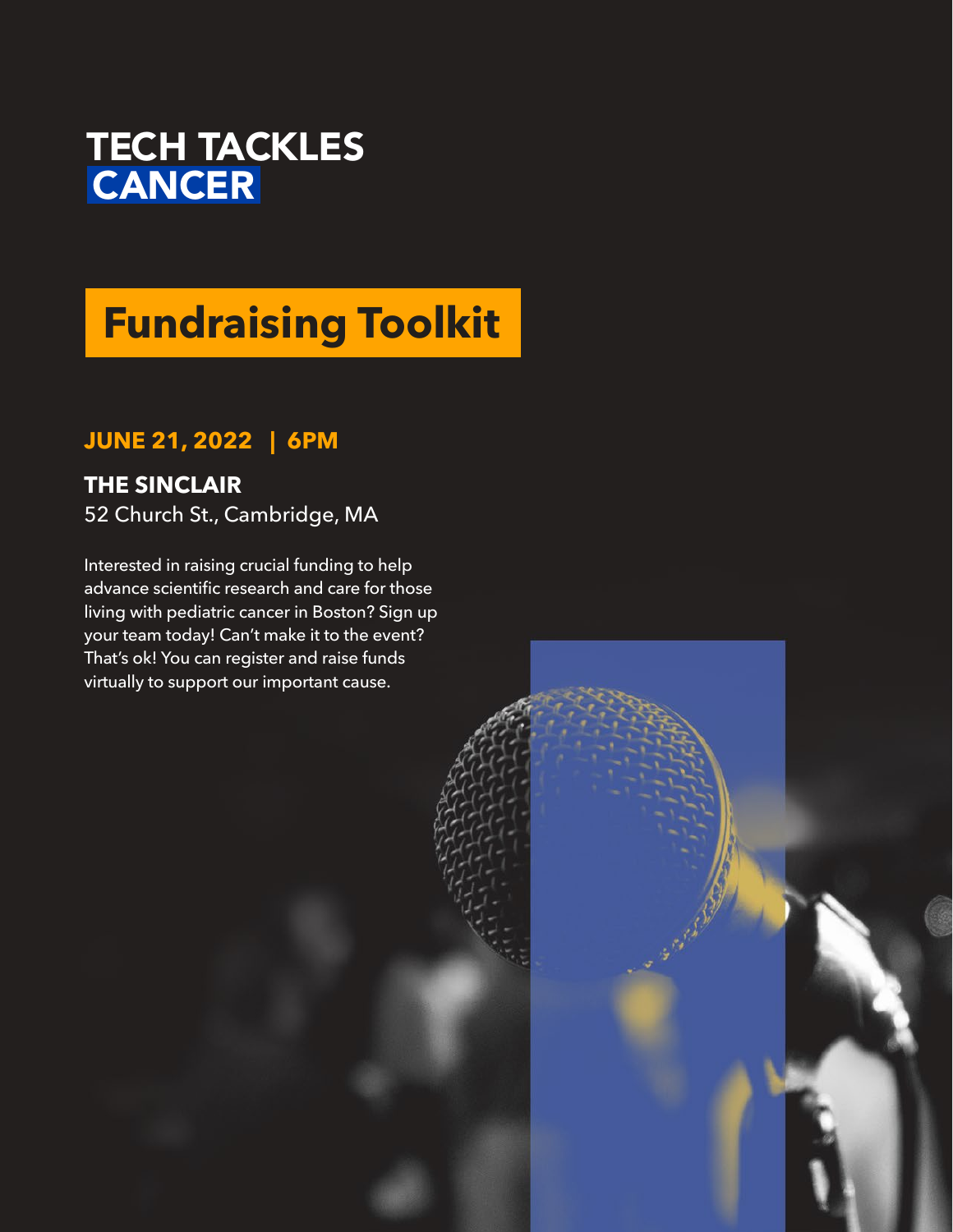

# **Fundraising Toolkit**

## **JUNE 21, 2022 | 6PM**

## **THE SINCLAIR**

52 Church St., Cambridge, MA

Interested in raising crucial funding to help advance scientific research and care for those living with pediatric cancer in Boston? Sign up your team today! Can't make it to the event? That's ok! You can register and raise funds virtually to support our important cause.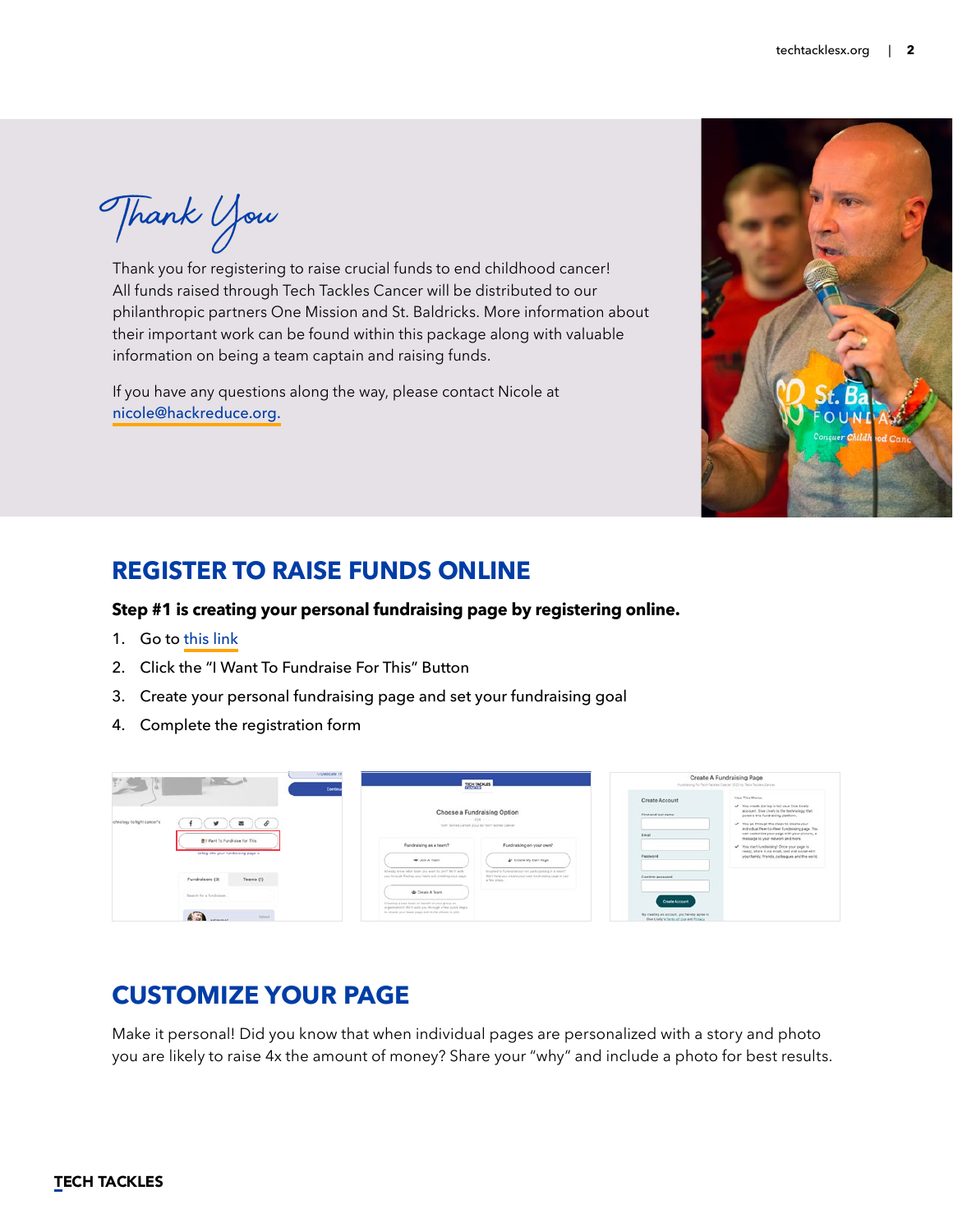Thank You

Thank you for registering to raise crucial funds to end childhood cancer! All funds raised through Tech Tackles Cancer will be distributed to our philanthropic partners One Mission and St. Baldricks. More information about their important work can be found within this package along with valuable information on being a team captain and raising funds.

If you have any questions along the way, please contact Nicole at [nicole@hackreduce.org](mailto:nicole%40hackreduce.org?subject=).



### **REGISTER TO RAISE FUNDS ONLINE**

### **Step #1 is creating your personal fundraising page by registering online.**

- 1. Go to [this link](https://secure.givelively.org/donate/hack-reduce-inc/tech-tackles-cancer-2022/fundraisers/new)
- 2. Click the "I Want To Fundraise For This" Button
- 3. Create your personal fundraising page and set your fundraising goal
- 4. Complete the registration form

| <b>COndicate Th</b><br><b><i><u>Administration</u></i></b><br>Continy                                          | <b>TECH TACKLES</b>                                                                                                                                                                                                                                                                                                                                                                                                                                    | Create A Fundraising Page<br>Fundhising for faith Tacates Cancer 2022 by Tech Tackies Cancer                                                                                                                                                                                                                                                                           |  |
|----------------------------------------------------------------------------------------------------------------|--------------------------------------------------------------------------------------------------------------------------------------------------------------------------------------------------------------------------------------------------------------------------------------------------------------------------------------------------------------------------------------------------------------------------------------------------------|------------------------------------------------------------------------------------------------------------------------------------------------------------------------------------------------------------------------------------------------------------------------------------------------------------------------------------------------------------------------|--|
| johnology to fight cancer's<br>$\theta$<br>器                                                                   | Choose a Fundraising Option<br>colored and analysis<br>Tech Technic Cander 2022 by Tech Tackies Carder                                                                                                                                                                                                                                                                                                                                                 | Hen This Works:<br>Create Account<br>Power was a good for the two charges of the United States<br>account. One Lively is the techniquy that<br>First and last name<br>powers this fundraising platform.<br>V You go through the steps to create your<br>individual Pear-to-Reer Fundraising page. You<br>can customize your page with your picture, a<br><b>Kanada</b> |  |
| <b>BI Want To Fundraise For This</b><br>or log into your fundraising page a                                    | Fundraising as a team?<br>Fundralsing on your own?<br><b>NB</b> Join A Team<br>A Creele My Own Page                                                                                                                                                                                                                                                                                                                                                    | message to your network and more.<br>V Too start fundraising! Once your page is<br>ready, share it via email, taxt and cocial with<br>Password<br>your family, friends, celleagues and the world.                                                                                                                                                                      |  |
| Teams (1)<br>Fundralsers (3)<br>Search for a fundraiser.<br><b>Partner</b><br><b>REGIST</b><br><b>CLASSING</b> | insured to fund also not not particle aling in a lease?<br>Allmady house what house you would be join? We V with<br>We'll help you create your user fundraising page in last<br>you through finding your learn and creating your page.<br>a faw shees.<br><b>D</b> Create A Team<br>Creating a new learn on behalf of your group or<br>organization) War's walk you through a few quiets share<br>to consta pour loans page and inclin column to join. | Confirm password<br><b>Create Account</b><br>for creating an account, you havely agree to<br>One Lively's Terms of Use and Privacy                                                                                                                                                                                                                                     |  |

## **CUSTOMIZE YOUR PAGE**

Make it personal! Did you know that when individual pages are personalized with a story and photo you are likely to raise 4x the amount of money? Share your "why" and include a photo for best results.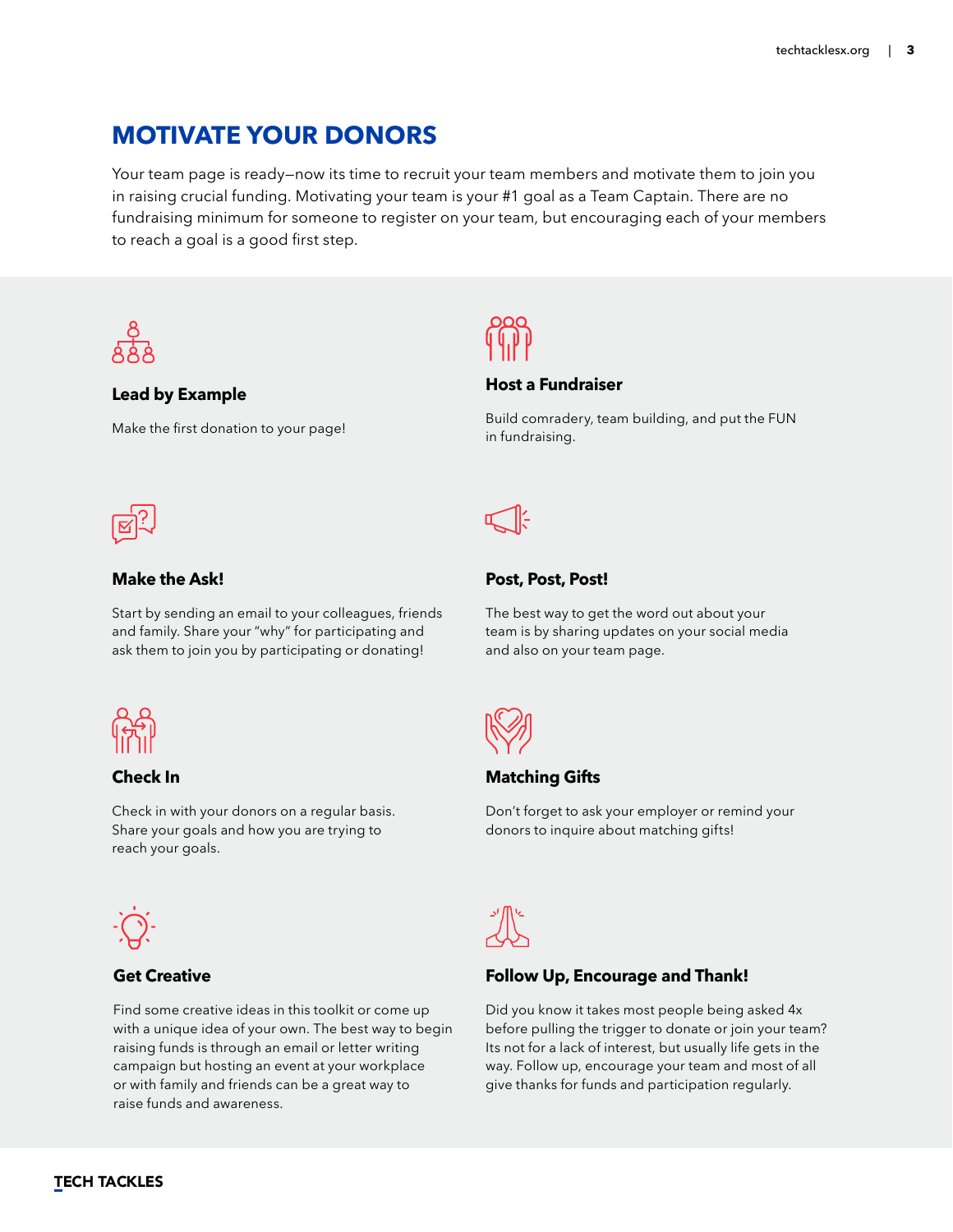## **MOTIVATE YOUR DONORS**

Your team page is ready—now its time to recruit your team members and motivate them to join you in raising crucial funding. Motivating your team is your #1 goal as a Team Captain. There are no fundraising minimum for someone to register on your team, but encouraging each of your members to reach a goal is a good first step.



### **Lead by Example**

Make the first donation to your page!



### **Host a Fundraiser**

Build comradery, team building, and put the FUN in fundraising.



### **Make the Ask!**

Start by sending an email to your colleagues, friends and family. Share your "why" for participating and ask them to join you by participating or donating!



### **Check In**

Check in with your donors on a regular basis. Share your goals and how you are trying to reach your goals.



### **Get Creative**

Find some creative ideas in this toolkit or come up with a unique idea of your own. The best way to begin raising funds is through an email or letter writing campaign but hosting an event at your workplace or with family and friends can be a great way to raise funds and awareness.



### **Post, Post, Post!**

The best way to get the word out about your team is by sharing updates on your social media and also on your team page.



### **Matching Gifts**

Don't forget to ask your employer or remind your donors to inquire about matching gifts!



### **Follow Up, Encourage and Thank!**

Did you know it takes most people being asked 4x before pulling the trigger to donate or join your team? Its not for a lack of interest, but usually life gets in the way. Follow up, encourage your team and most of all give thanks for funds and participation regularly.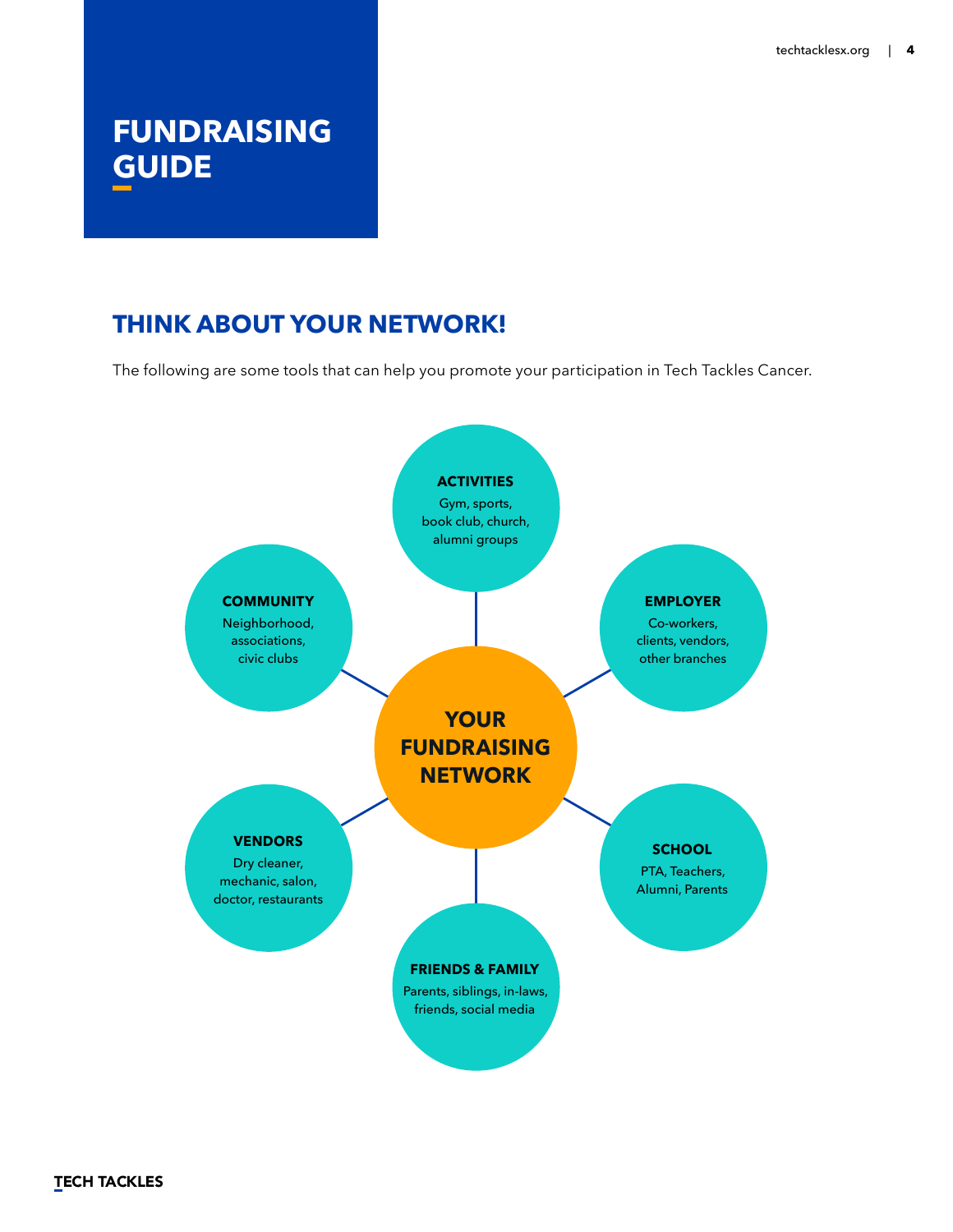[techtacklesx.org](https://techtacklesx.org) | **4**

## **FUNDRAISING GUIDE**

## **THINK ABOUT YOUR NETWORK!**

The following are some tools that can help you promote your participation in Tech Tackles Cancer.

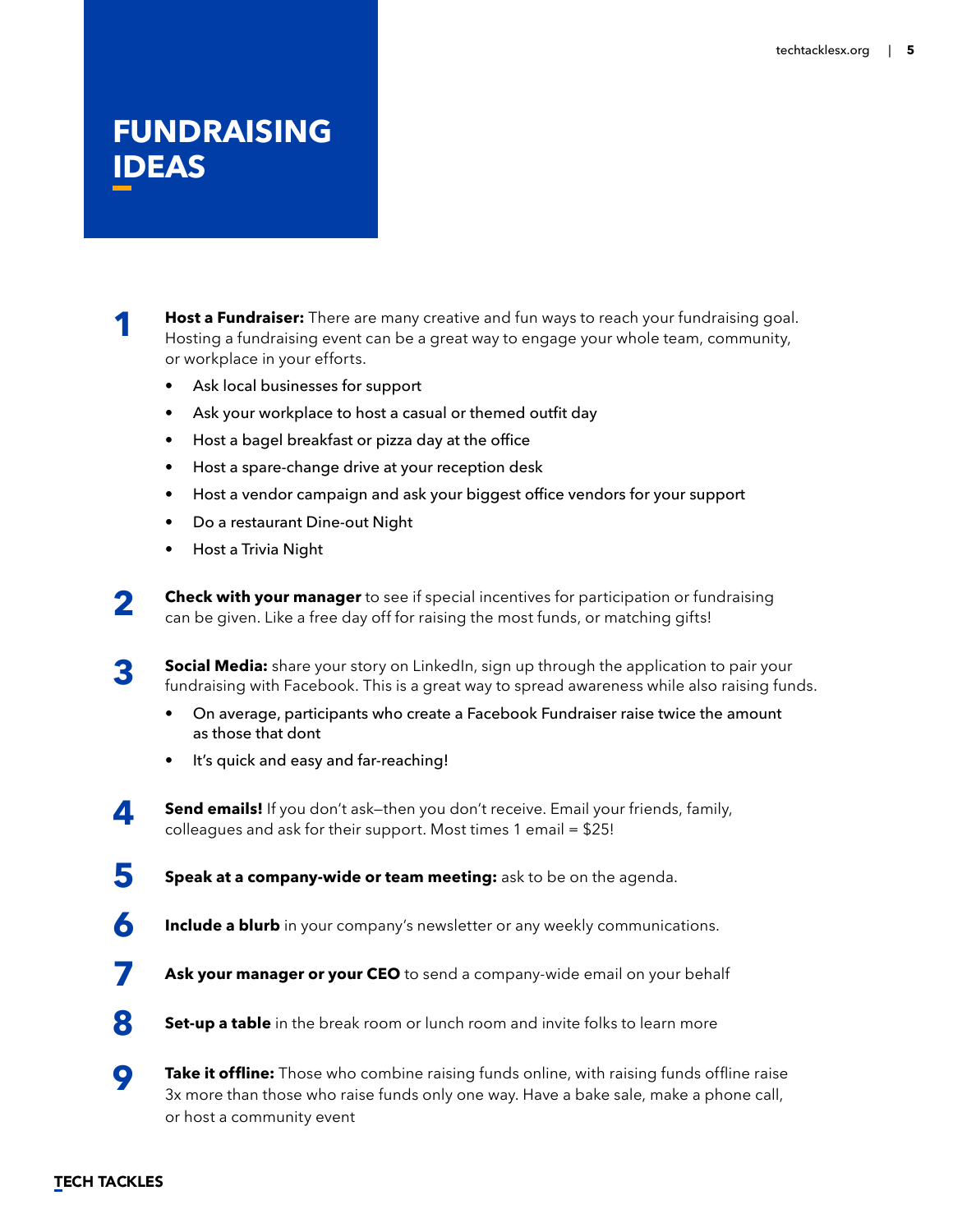## **FUNDRAISING IDEAS**

**Host a Fundraiser:** There are many creative and fun ways to reach your fundraising goal. Hosting a fundraising event can be a great way to engage your whole team, community, or workplace in your efforts. **1**

- Ask local businesses for support
- Ask your workplace to host a casual or themed outfit day
- Host a bagel breakfast or pizza day at the office
- Host a spare-change drive at your reception desk
- Host a vendor campaign and ask your biggest office vendors for your support
- Do a restaurant Dine-out Night
- Host a Trivia Night
- **Check with your manager** to see if special incentives for participation or fundraising can be given. Like a free day off for raising the most funds, or matching gifts! **2**
- **Social Media:** share your story on LinkedIn, sign up through the application to pair your fundraising with Facebook. This is a great way to spread awareness while also raising funds. **3**
	- On average, participants who create a Facebook Fundraiser raise twice the amount as those that dont
	- It's quick and easy and far-reaching!
- **Send emails!** If you don't ask—then you don't receive. Email your friends, family, colleagues and ask for their support. Most times 1 email = \$25! **4**
- **Speak at a company-wide or team meeting:** ask to be on the agenda. **5**
- **Include a blurb** in your company's newsletter or any weekly communications. **6**
- Ask your manager or your CEO to send a company-wide email on your behalf **7**
- **Set-up a table** in the break room or lunch room and invite folks to learn more **8**
- **Take it offline:** Those who combine raising funds online, with raising funds offline raise 3x more than those who raise funds only one way. Have a bake sale, make a phone call, or host a community event **9**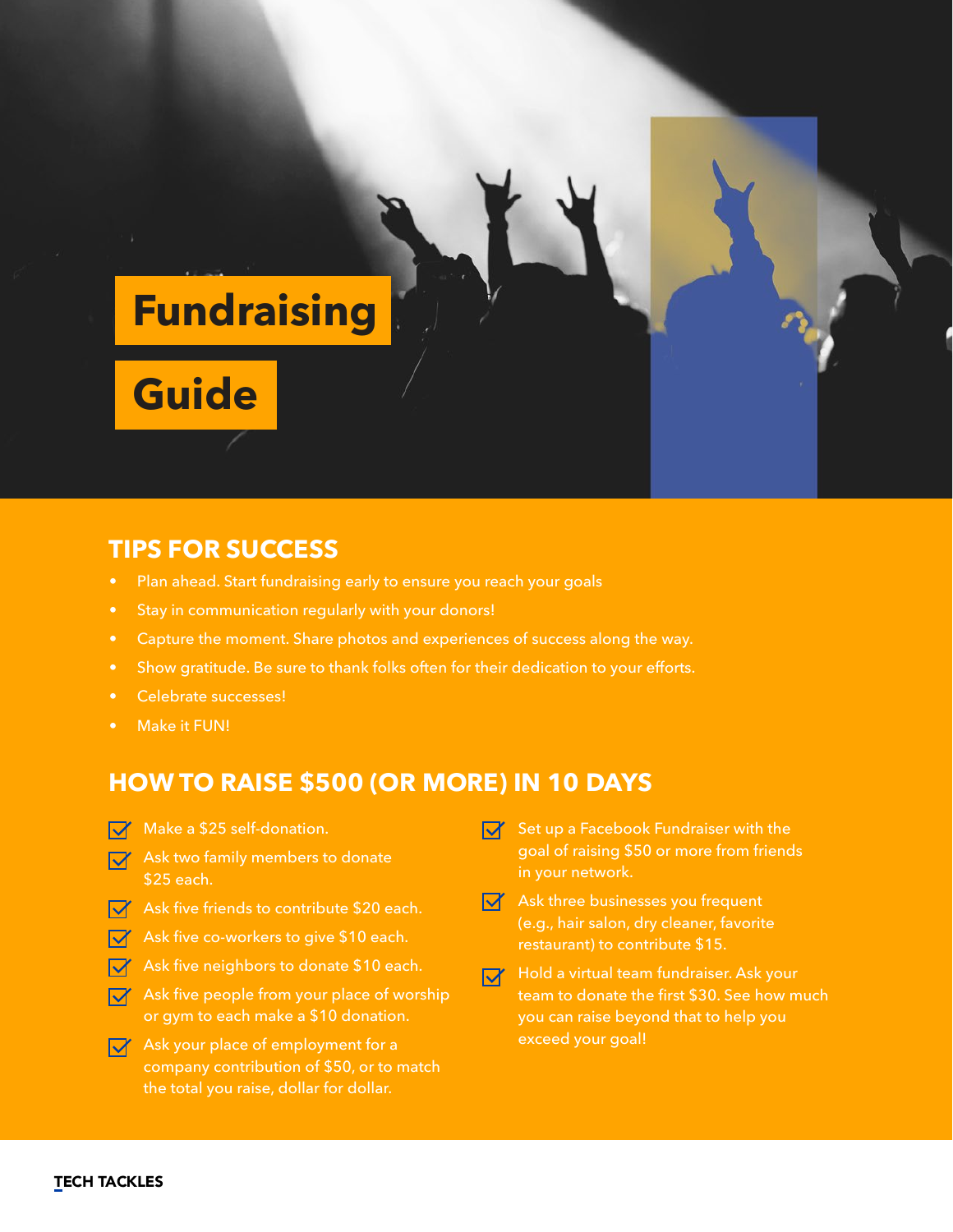

### **TIPS FOR SUCCESS**

- Plan ahead. Start fundraising early to ensure you reach your goals
- Stay in communication regularly with your donors!
- Capture the moment. Share photos and experiences of success along the way.
- Show gratitude. Be sure to thank folks often for their dedication to your efforts.
- Celebrate successes!
- Make it FUN!

### **HOW TO RAISE \$500 (OR MORE) IN 10 DAYS**

- $\boldsymbol{\nabla}$ Make a \$25 self-donation.
- Ask two family members to donate \$25 each.
- $\nabla f$  Ask five friends to contribute \$20 each.
- $\nabla f$  Ask five co-workers to give \$10 each.
- Ask five neighbors to donate \$10 each.
- $\nabla f$  Ask five people from your place of worship or gym to each make a \$10 donation.
- $\nabla f$  Ask your place of employment for a company contribution of \$50, or to match the total you raise, dollar for dollar.
- $\bm{\nabla}$ Set up a Facebook Fundraiser with the goal of raising \$50 or more from friends in your network.
- $\nabla$  Ask three businesses you frequent (e.g., hair salon, dry cleaner, favorite restaurant) to contribute \$15.
- Hold a virtual team fundraiser. Ask your  $\overline{\mathsf{M}}$ team to donate the first \$30. See how much you can raise beyond that to help you exceed your goal!